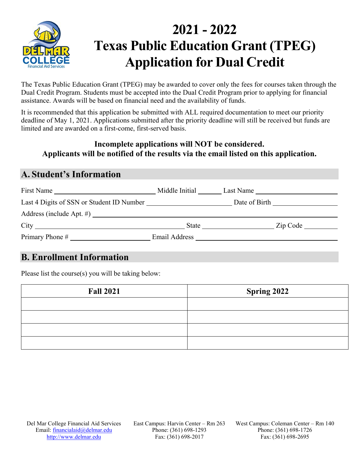

# **2021 - 2022 Texas Public Education Grant (TPEG) Application for Dual Credit**

The Texas Public Education Grant (TPEG) may be awarded to cover only the fees for courses taken through the Dual Credit Program. Students must be accepted into the Dual Credit Program prior to applying for financial assistance. Awards will be based on financial need and the availability of funds.

It is recommended that this application be submitted with ALL required documentation to meet our priority deadline of May 1, 2021. Applications submitted after the priority deadline will still be received but funds are limited and are awarded on a first-come, first-served basis.

### **Incomplete applications will NOT be considered. Applicants will be notified of the results via the email listed on this application.**

### **A. Student's Information**

| First Name                                | Middle Initial | Last Name                                                                                                                                                                                                                                                           |
|-------------------------------------------|----------------|---------------------------------------------------------------------------------------------------------------------------------------------------------------------------------------------------------------------------------------------------------------------|
| Last 4 Digits of SSN or Student ID Number |                | Date of Birth                                                                                                                                                                                                                                                       |
| Address (include Apt. $\#$ )              |                |                                                                                                                                                                                                                                                                     |
|                                           |                | $\mathsf{Zip} \ \mathsf{Code} \_$<br>State in the state of the state in the state in the state in the state in the state in the state in the state in the state in the state in the state in the state in the state in the state in the state in the state in the s |
|                                           |                | Email Address and the state of the state of the state of the state of the state of the state of the state of the state of the state of the state of the state of the state of the state of the state of the state of the state                                      |

### **B. Enrollment Information**

Please list the course(s) you will be taking below:

| <b>Fall 2021</b> | <b>Spring 2022</b> |  |  |
|------------------|--------------------|--|--|
|                  |                    |  |  |
|                  |                    |  |  |
|                  |                    |  |  |
|                  |                    |  |  |

East Campus: Harvin Center – Rm 263 Phone: (361) 698-1293 Fax: (361) 698-2017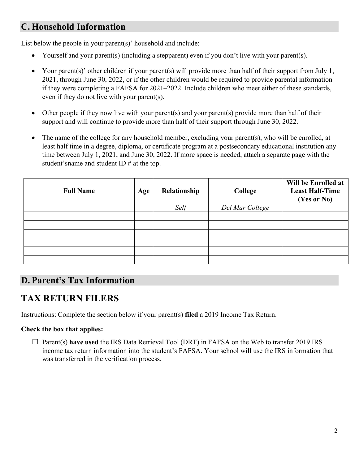# **C. Household Information**

List below the people in your parent(s)' household and include:

- Yourself and your parent(s) (including a stepparent) even if you don't live with your parent(s).
- Your parent(s)' other children if your parent(s) will provide more than half of their support from July 1, 2021, through June 30, 2022, or if the other children would be required to provide parental information if they were completing a FAFSA for 2021–2022. Include children who meet either of these standards, even if they do not live with your parent(s).
- Other people if they now live with your parent(s) and your parent(s) provide more than half of their support and will continue to provide more than half of their support through June 30, 2022.
- The name of the college for any household member, excluding your parent(s), who will be enrolled, at least half time in a degree, diploma, or certificate program at a postsecondary educational institution any time between July 1, 2021, and June 30, 2022. If more space is needed, attach a separate page with the student's name and student ID # at the top.

| <b>Full Name</b> | Age | Relationship | College         | Will be Enrolled at<br><b>Least Half-Time</b><br>(Yes or No) |
|------------------|-----|--------------|-----------------|--------------------------------------------------------------|
|                  |     | Self         | Del Mar College |                                                              |
|                  |     |              |                 |                                                              |
|                  |     |              |                 |                                                              |
|                  |     |              |                 |                                                              |
|                  |     |              |                 |                                                              |
|                  |     |              |                 |                                                              |
|                  |     |              |                 |                                                              |

# **D. Parent's Tax Information**

# **TAX RETURN FILERS**

Instructions: Complete the section below if your parent(s) **filed** a 2019 Income Tax Return.

#### **Check the box that applies:**

☐ Parent(s) **have used** the IRS Data Retrieval Tool (DRT) in FAFSA on the Web to transfer 2019 IRS income tax return information into the student's FAFSA. Your school will use the IRS information that was transferred in the verification process.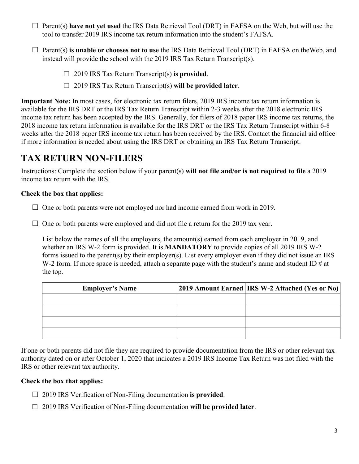- ☐ Parent(s) **have not yet used** the IRS Data Retrieval Tool (DRT) in FAFSA on the Web, but will use the tool to transfer 2019 IRS income tax return information into the student's FAFSA.
- ☐ Parent(s) **is unable or chooses not to use** the IRS Data Retrieval Tool (DRT) in FAFSA on the Web, and instead will provide the school with the 2019 IRS Tax Return Transcript(s).
	- ☐ 2019 IRS Tax Return Transcript(s) **is provided**.
	- ☐ 2019 IRS Tax Return Transcript(s) **will be provided later**.

**Important Note:** In most cases, for electronic tax return filers, 2019 IRS income tax return information is available for the IRS DRT or the IRS Tax Return Transcript within 2-3 weeks after the 2018 electronic IRS income tax return has been accepted by the IRS. Generally, for filers of 2018 paper IRS income tax returns, the 2018 income tax return information is available for the IRS DRT or the IRS Tax Return Transcript within 6-8 weeks after the 2018 paper IRS income tax return has been received by the IRS. Contact the financial aid office if more information is needed about using the IRS DRT or obtaining an IRS Tax Return Transcript.

## **TAX RETURN NON-FILERS**

Instructions: Complete the section below if your parent(s) **will not file and/or is not required to file** a 2019 income tax return with the IRS.

#### **Check the box that applies:**

- $\Box$  One or both parents were not employed nor had income earned from work in 2019.
- $\Box$  One or both parents were employed and did not file a return for the 2019 tax year.

List below the names of all the employers, the amount(s) earned from each employer in 2019, and whether an IRS W-2 form is provided. It is **MANDATORY** to provide copies of all 2019 IRS W-2 forms issued to the parent(s) by their employer(s). List every employer even if they did not issue an IRS W-2 form. If more space is needed, attach a separate page with the student's name and student ID  $\#$  at the top.

| <b>Employer's Name</b> | 2019 Amount Earned   IRS W-2 Attached (Yes or No) |
|------------------------|---------------------------------------------------|
|                        |                                                   |
|                        |                                                   |
|                        |                                                   |
|                        |                                                   |

If one or both parents did not file they are required to provide documentation from the IRS or other relevant tax authority dated on or after October 1, 2020 that indicates a 2019 IRS Income Tax Return was not filed with the IRS or other relevant tax authority.

#### **Check the box that applies:**

- ☐ 2019 IRS Verification of Non-Filing documentation **is provided**.
- ☐ 2019 IRS Verification of Non-Filing documentation **will be provided later**.